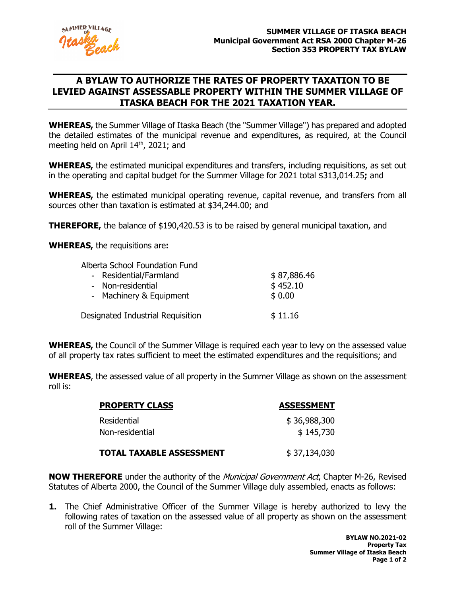

## **A BYLAW TO AUTHORIZE THE RATES OF PROPERTY TAXATION TO BE LEVIED AGAINST ASSESSABLE PROPERTY WITHIN THE SUMMER VILLAGE OF ITASKA BEACH FOR THE 2021 TAXATION YEAR.**

**WHEREAS,** the Summer Village of Itaska Beach (the "Summer Village") has prepared and adopted the detailed estimates of the municipal revenue and expenditures, as required, at the Council meeting held on April 14<sup>th</sup>, 2021; and

**WHEREAS,** the estimated municipal expenditures and transfers, including requisitions, as set out in the operating and capital budget for the Summer Village for 2021 total \$313,014.25**;** and

**WHEREAS,** the estimated municipal operating revenue, capital revenue, and transfers from all sources other than taxation is estimated at \$34,244.00; and

**THEREFORE,** the balance of \$190,420.53 is to be raised by general municipal taxation, and

**WHEREAS,** the requisitions are**:**

| Alberta School Foundation Fund    |             |
|-----------------------------------|-------------|
| - Residential/Farmland            | \$87,886.46 |
| - Non-residential                 | \$452.10    |
| - Machinery & Equipment           | \$0.00      |
|                                   |             |
| Designated Industrial Requisition | \$11.16     |

**WHEREAS,** the Council of the Summer Village is required each year to levy on the assessed value of all property tax rates sufficient to meet the estimated expenditures and the requisitions; and

**WHEREAS**, the assessed value of all property in the Summer Village as shown on the assessment roll is:

| <b>PROPERTY CLASS</b>           | <b>ASSESSMENT</b> |
|---------------------------------|-------------------|
| Residential                     | \$36,988,300      |
| Non-residential                 | \$145,730         |
| <b>TOTAL TAXABLE ASSESSMENT</b> | \$37,134,030      |

**NOW THEREFORE** under the authority of the Municipal Government Act, Chapter M-26, Revised Statutes of Alberta 2000, the Council of the Summer Village duly assembled, enacts as follows:

**1.** The Chief Administrative Officer of the Summer Village is hereby authorized to levy the following rates of taxation on the assessed value of all property as shown on the assessment roll of the Summer Village: